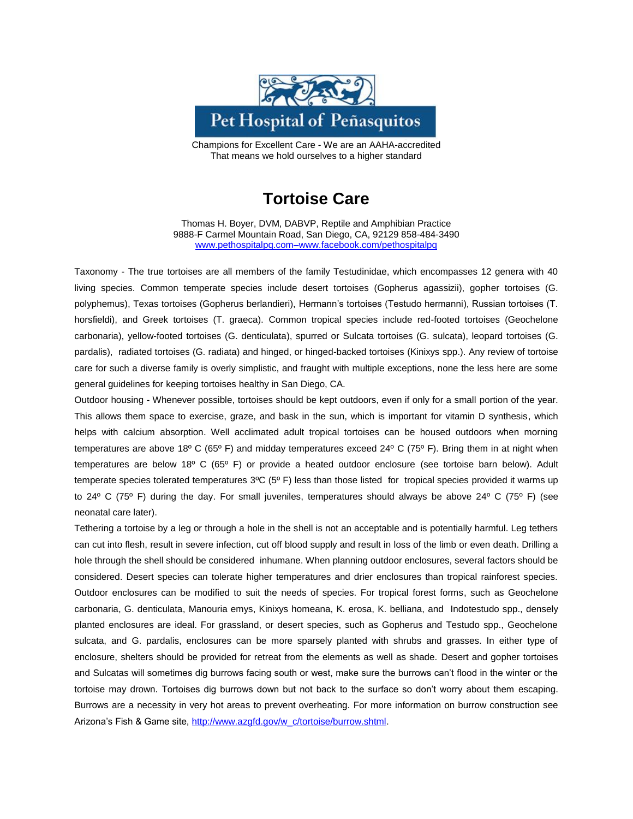

Champions for Excellent Care - We are an AAHA-accredited That means we hold ourselves to a higher standard

## **Tortoise Care**

Thomas H. Boyer, DVM, DABVP, Reptile and Amphibian Practice 9888-F Carmel Mountain Road, San Diego, CA, 92129 858-484-3490 [www.pethospitalpq.com–www.facebook.com/pethospitalpq](http://www.pethospitalpq.com–www.facebook.com/pethospitalpq)

Taxonomy - The true tortoises are all members of the family Testudinidae, which encompasses 12 genera with 40 living species. Common temperate species include desert tortoises (Gopherus agassizii), gopher tortoises (G. polyphemus), Texas tortoises (Gopherus berlandieri), Hermann's tortoises (Testudo hermanni), Russian tortoises (T. horsfieldi), and Greek tortoises (T. graeca). Common tropical species include red-footed tortoises (Geochelone carbonaria), yellow-footed tortoises (G. denticulata), spurred or Sulcata tortoises (G. sulcata), leopard tortoises (G. pardalis), radiated tortoises (G. radiata) and hinged, or hinged-backed tortoises (Kinixys spp.). Any review of tortoise care for such a diverse family is overly simplistic, and fraught with multiple exceptions, none the less here are some general guidelines for keeping tortoises healthy in San Diego, CA.

Outdoor housing - Whenever possible, tortoises should be kept outdoors, even if only for a small portion of the year. This allows them space to exercise, graze, and bask in the sun, which is important for vitamin D synthesis, which helps with calcium absorption. Well acclimated adult tropical tortoises can be housed outdoors when morning temperatures are above 18º C (65º F) and midday temperatures exceed 24º C (75º F). Bring them in at night when temperatures are below 18º C (65º F) or provide a heated outdoor enclosure (see tortoise barn below). Adult temperate species tolerated temperatures 3ºC (5º F) less than those listed for tropical species provided it warms up to 24 $\degree$  C (75 $\degree$  F) during the day. For small juveniles, temperatures should always be above 24 $\degree$  C (75 $\degree$  F) (see neonatal care later).

Tethering a tortoise by a leg or through a hole in the shell is not an acceptable and is potentially harmful. Leg tethers can cut into flesh, result in severe infection, cut off blood supply and result in loss of the limb or even death. Drilling a hole through the shell should be considered inhumane. When planning outdoor enclosures, several factors should be considered. Desert species can tolerate higher temperatures and drier enclosures than tropical rainforest species. Outdoor enclosures can be modified to suit the needs of species. For tropical forest forms, such as Geochelone carbonaria, G. denticulata, Manouria emys, Kinixys homeana, K. erosa, K. belliana, and Indotestudo spp., densely planted enclosures are ideal. For grassland, or desert species, such as Gopherus and Testudo spp., Geochelone sulcata, and G. pardalis, enclosures can be more sparsely planted with shrubs and grasses. In either type of enclosure, shelters should be provided for retreat from the elements as well as shade. Desert and gopher tortoises and Sulcatas will sometimes dig burrows facing south or west, make sure the burrows can't flood in the winter or the tortoise may drown. Tortoises dig burrows down but not back to the surface so don't worry about them escaping. Burrows are a necessity in very hot areas to prevent overheating. For more information on burrow construction see Arizona's Fish & Game site[, http://www.azgfd.gov/w\\_c/tortoise/burrow.shtml.](http://www.azgfd.gov/w_c/tortoise/burrow.shtml)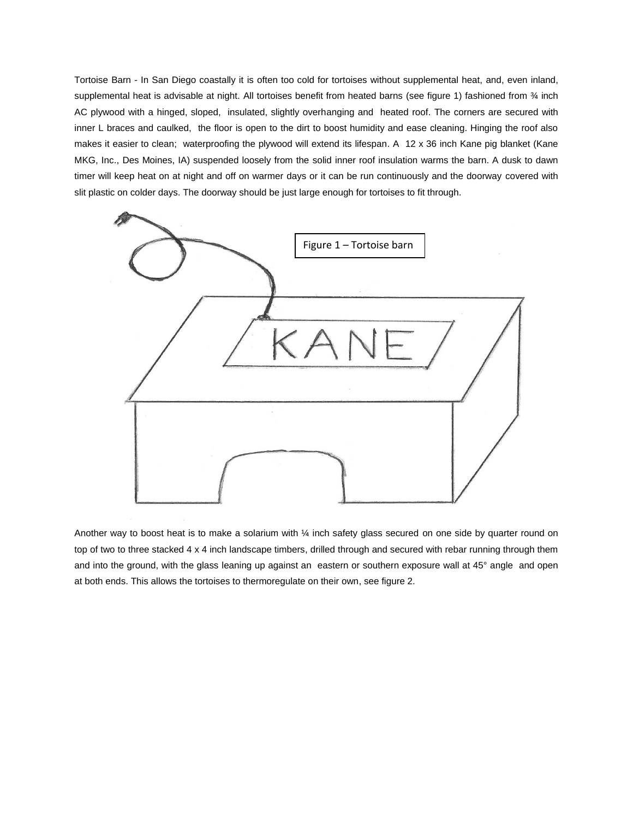Tortoise Barn - In San Diego coastally it is often too cold for tortoises without supplemental heat, and, even inland, supplemental heat is advisable at night. All tortoises benefit from heated barns (see figure 1) fashioned from  $\frac{3}{4}$  inch AC plywood with a hinged, sloped, insulated, slightly overhanging and heated roof. The corners are secured with inner L braces and caulked, the floor is open to the dirt to boost humidity and ease cleaning. Hinging the roof also makes it easier to clean; waterproofing the plywood will extend its lifespan. A 12 x 36 inch Kane pig blanket (Kane MKG, Inc., Des Moines, IA) suspended loosely from the solid inner roof insulation warms the barn. A dusk to dawn timer will keep heat on at night and off on warmer days or it can be run continuously and the doorway covered with slit plastic on colder days. The doorway should be just large enough for tortoises to fit through.



Another way to boost heat is to make a solarium with 1/4 inch safety glass secured on one side by quarter round on top of two to three stacked 4 x 4 inch landscape timbers, drilled through and secured with rebar running through them and into the ground, with the glass leaning up against an eastern or southern exposure wall at 45° angle and open at both ends. This allows the tortoises to thermoregulate on their own, see figure 2.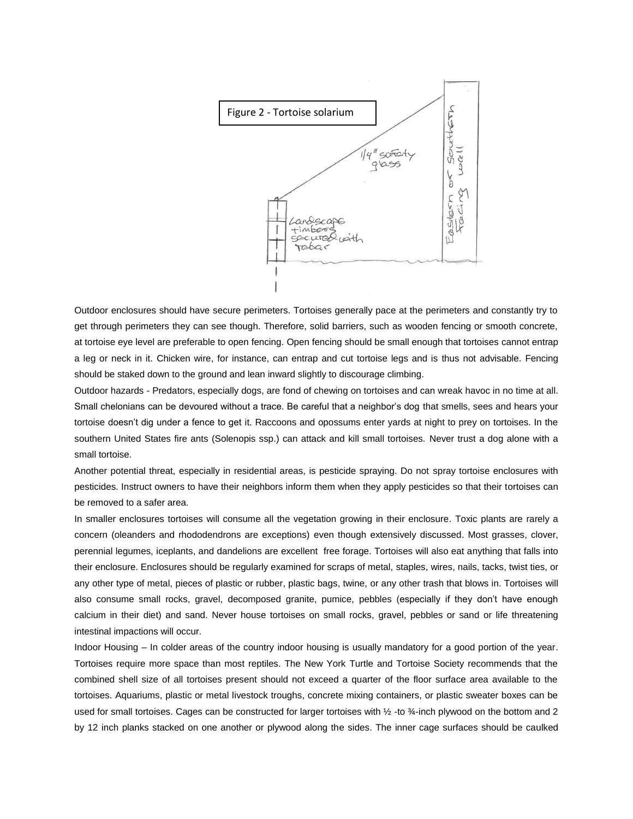

Outdoor enclosures should have secure perimeters. Tortoises generally pace at the perimeters and constantly try to get through perimeters they can see though. Therefore, solid barriers, such as wooden fencing or smooth concrete, at tortoise eye level are preferable to open fencing. Open fencing should be small enough that tortoises cannot entrap a leg or neck in it. Chicken wire, for instance, can entrap and cut tortoise legs and is thus not advisable. Fencing should be staked down to the ground and lean inward slightly to discourage climbing.

Outdoor hazards - Predators, especially dogs, are fond of chewing on tortoises and can wreak havoc in no time at all. Small chelonians can be devoured without a trace. Be careful that a neighbor's dog that smells, sees and hears your tortoise doesn't dig under a fence to get it. Raccoons and opossums enter yards at night to prey on tortoises. In the southern United States fire ants (Solenopis ssp.) can attack and kill small tortoises. Never trust a dog alone with a small tortoise.

Another potential threat, especially in residential areas, is pesticide spraying. Do not spray tortoise enclosures with pesticides. Instruct owners to have their neighbors inform them when they apply pesticides so that their tortoises can be removed to a safer area.

In smaller enclosures tortoises will consume all the vegetation growing in their enclosure. Toxic plants are rarely a concern (oleanders and rhododendrons are exceptions) even though extensively discussed. Most grasses, clover, perennial legumes, iceplants, and dandelions are excellent free forage. Tortoises will also eat anything that falls into their enclosure. Enclosures should be regularly examined for scraps of metal, staples, wires, nails, tacks, twist ties, or any other type of metal, pieces of plastic or rubber, plastic bags, twine, or any other trash that blows in. Tortoises will also consume small rocks, gravel, decomposed granite, pumice, pebbles (especially if they don't have enough calcium in their diet) and sand. Never house tortoises on small rocks, gravel, pebbles or sand or life threatening intestinal impactions will occur.

Indoor Housing – In colder areas of the country indoor housing is usually mandatory for a good portion of the year. Tortoises require more space than most reptiles. The New York Turtle and Tortoise Society recommends that the combined shell size of all tortoises present should not exceed a quarter of the floor surface area available to the tortoises. Aquariums, plastic or metal livestock troughs, concrete mixing containers, or plastic sweater boxes can be used for small tortoises. Cages can be constructed for larger tortoises with 1/2 -to 3/4-inch plywood on the bottom and 2 by 12 inch planks stacked on one another or plywood along the sides. The inner cage surfaces should be caulked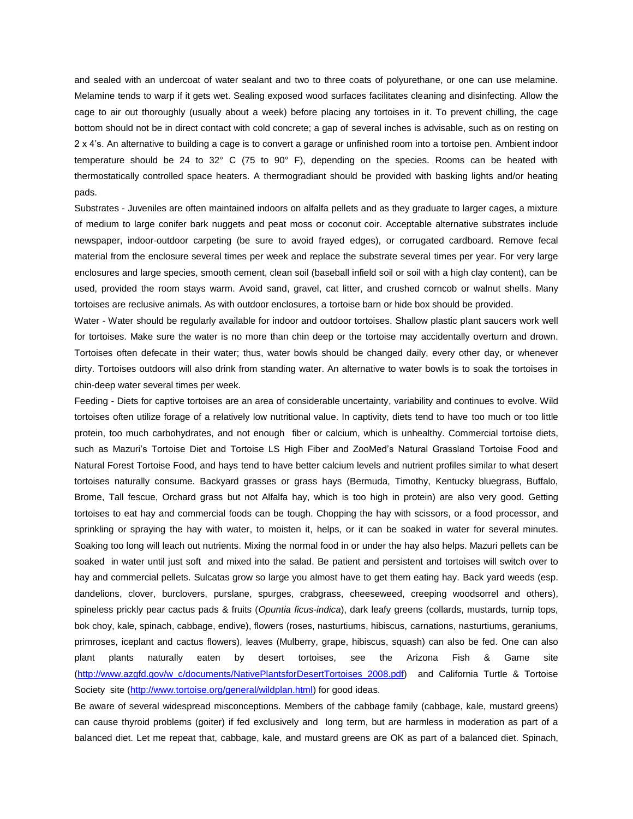and sealed with an undercoat of water sealant and two to three coats of polyurethane, or one can use melamine. Melamine tends to warp if it gets wet. Sealing exposed wood surfaces facilitates cleaning and disinfecting. Allow the cage to air out thoroughly (usually about a week) before placing any tortoises in it. To prevent chilling, the cage bottom should not be in direct contact with cold concrete; a gap of several inches is advisable, such as on resting on 2 x 4's. An alternative to building a cage is to convert a garage or unfinished room into a tortoise pen. Ambient indoor temperature should be 24 to 32° C (75 to 90° F), depending on the species. Rooms can be heated with thermostatically controlled space heaters. A thermogradiant should be provided with basking lights and/or heating pads.

Substrates - Juveniles are often maintained indoors on alfalfa pellets and as they graduate to larger cages, a mixture of medium to large conifer bark nuggets and peat moss or coconut coir. Acceptable alternative substrates include newspaper, indoor-outdoor carpeting (be sure to avoid frayed edges), or corrugated cardboard. Remove fecal material from the enclosure several times per week and replace the substrate several times per year. For very large enclosures and large species, smooth cement, clean soil (baseball infield soil or soil with a high clay content), can be used, provided the room stays warm. Avoid sand, gravel, cat litter, and crushed corncob or walnut shells. Many tortoises are reclusive animals. As with outdoor enclosures, a tortoise barn or hide box should be provided.

Water - Water should be regularly available for indoor and outdoor tortoises. Shallow plastic plant saucers work well for tortoises. Make sure the water is no more than chin deep or the tortoise may accidentally overturn and drown. Tortoises often defecate in their water; thus, water bowls should be changed daily, every other day, or whenever dirty. Tortoises outdoors will also drink from standing water. An alternative to water bowls is to soak the tortoises in chin-deep water several times per week.

Feeding - Diets for captive tortoises are an area of considerable uncertainty, variability and continues to evolve. Wild tortoises often utilize forage of a relatively low nutritional value. In captivity, diets tend to have too much or too little protein, too much carbohydrates, and not enough fiber or calcium, which is unhealthy. Commercial tortoise diets, such as Mazuri's Tortoise Diet and Tortoise LS High Fiber and ZooMed's Natural Grassland Tortoise Food and Natural Forest Tortoise Food, and hays tend to have better calcium levels and nutrient profiles similar to what desert tortoises naturally consume. Backyard grasses or grass hays (Bermuda, Timothy, Kentucky bluegrass, Buffalo, Brome, Tall fescue, Orchard grass but not Alfalfa hay, which is too high in protein) are also very good. Getting tortoises to eat hay and commercial foods can be tough. Chopping the hay with scissors, or a food processor, and sprinkling or spraying the hay with water, to moisten it, helps, or it can be soaked in water for several minutes. Soaking too long will leach out nutrients. Mixing the normal food in or under the hay also helps. Mazuri pellets can be soaked in water until just soft and mixed into the salad. Be patient and persistent and tortoises will switch over to hay and commercial pellets. Sulcatas grow so large you almost have to get them eating hay. Back yard weeds (esp. dandelions, clover, burclovers, purslane, spurges, crabgrass, cheeseweed, creeping woodsorrel and others), spineless prickly pear cactus pads & fruits (*Opuntia ficus-indica*), dark leafy greens (collards, mustards, turnip tops, bok choy, kale, spinach, cabbage, endive), flowers (roses, nasturtiums, hibiscus, carnations, nasturtiums, geraniums, primroses, iceplant and cactus flowers), leaves (Mulberry, grape, hibiscus, squash) can also be fed. One can also plant plants naturally eaten by desert tortoises, see the Arizona Fish & Game site [\(http://www.azgfd.gov/w\\_c/documents/NativePlantsforDesertTortoises\\_2008.pdf\)](http://www.azgfd.gov/w_c/documents/NativePlantsforDesertTortoises_2008.pdf) and California Turtle & Tortoise Society site [\(http://www.tortoise.org/general/wildplan.html\)](http://www.tortoise.org/general/wildplan.html) for good ideas.

Be aware of several widespread misconceptions. Members of the cabbage family (cabbage, kale, mustard greens) can cause thyroid problems (goiter) if fed exclusively and long term, but are harmless in moderation as part of a balanced diet. Let me repeat that, cabbage, kale, and mustard greens are OK as part of a balanced diet. Spinach,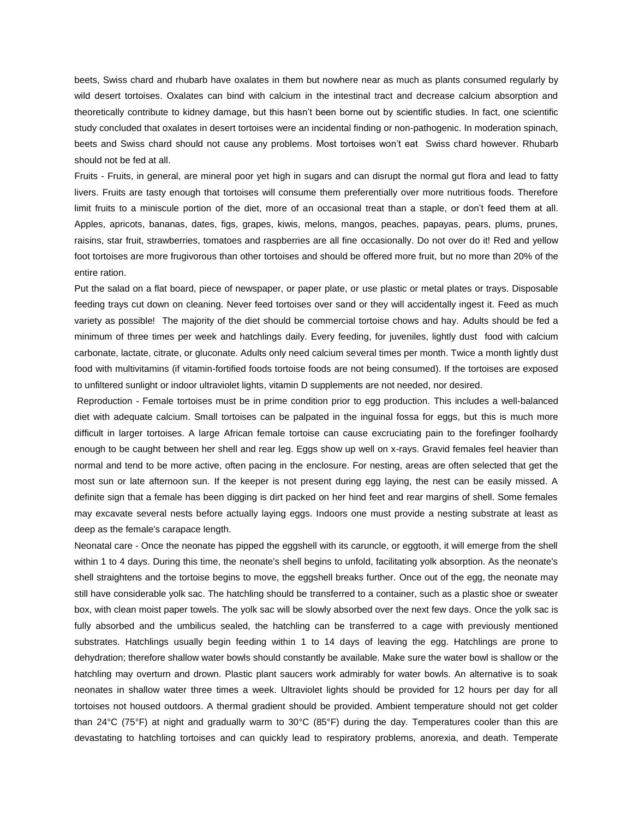beets, Swiss chard and rhubarb have oxalates in them but nowhere near as much as plants consumed regularly by wild desert tortoises. Oxalates can bind with calcium in the intestinal tract and decrease calcium absorption and theoretically contribute to kidney damage, but this hasn't been borne out by scientific studies. In fact, one scientific study concluded that oxalates in desert tortoises were an incidental finding or non-pathogenic. In moderation spinach, beets and Swiss chard should not cause any problems. Most tortoises won't eat Swiss chard however. Rhubarb should not be fed at all.

Fruits - Fruits, in general, are mineral poor yet high in sugars and can disrupt the normal gut flora and lead to fatty livers. Fruits are tasty enough that tortoises will consume them preferentially over more nutritious foods. Therefore limit fruits to a miniscule portion of the diet, more of an occasional treat than a staple, or don't feed them at all. Apples, apricots, bananas, dates, figs, grapes, kiwis, melons, mangos, peaches, papayas, pears, plums, prunes, raisins, star fruit, strawberries, tomatoes and raspberries are all fine occasionally. Do not over do it! Red and yellow foot tortoises are more frugivorous than other tortoises and should be offered more fruit, but no more than 20% of the entire ration.

Put the salad on a flat board, piece of newspaper, or paper plate, or use plastic or metal plates or trays. Disposable feeding trays cut down on cleaning. Never feed tortoises over sand or they will accidentally ingest it. Feed as much variety as possible! The majority of the diet should be commercial tortoise chows and hay. Adults should be fed a minimum of three times per week and hatchlings daily. Every feeding, for juveniles, lightly dust food with calcium carbonate, lactate, citrate, or gluconate. Adults only need calcium several times per month. Twice a month lightly dust food with multivitamins (if vitamin-fortified foods tortoise foods are not being consumed). If the tortoises are exposed to unfiltered sunlight or indoor ultraviolet lights, vitamin D supplements are not needed, nor desired.

Reproduction - Female tortoises must be in prime condition prior to egg production. This includes a well-balanced diet with adequate calcium. Small tortoises can be palpated in the inguinal fossa for eggs, but this is much more difficult in larger tortoises. A large African female tortoise can cause excruciating pain to the forefinger foolhardy enough to be caught between her shell and rear leg. Eggs show up well on x-rays. Gravid females feel heavier than normal and tend to be more active, often pacing in the enclosure. For nesting, areas are often selected that get the most sun or late afternoon sun. If the keeper is not present during egg laying, the nest can be easily missed. A definite sign that a female has been digging is dirt packed on her hind feet and rear margins of shell. Some females may excavate several nests before actually laying eggs. Indoors one must provide a nesting substrate at least as deep as the female's carapace length.

Neonatal care - Once the neonate has pipped the eggshell with its caruncle, or eggtooth, it will emerge from the shell within 1 to 4 days. During this time, the neonate's shell begins to unfold, facilitating yolk absorption. As the neonate's shell straightens and the tortoise begins to move, the eggshell breaks further. Once out of the egg, the neonate may still have considerable yolk sac. The hatchling should be transferred to a container, such as a plastic shoe or sweater box, with clean moist paper towels. The yolk sac will be slowly absorbed over the next few days. Once the yolk sac is fully absorbed and the umbilicus sealed, the hatchling can be transferred to a cage with previously mentioned substrates. Hatchlings usually begin feeding within 1 to 14 days of leaving the egg. Hatchlings are prone to dehydration; therefore shallow water bowls should constantly be available. Make sure the water bowl is shallow or the hatchling may overturn and drown. Plastic plant saucers work admirably for water bowls. An alternative is to soak neonates in shallow water three times a week. Ultraviolet lights should be provided for 12 hours per day for all tortoises not housed outdoors. A thermal gradient should be provided. Ambient temperature should not get colder than 24°C (75°F) at night and gradually warm to 30°C (85°F) during the day. Temperatures cooler than this are devastating to hatchling tortoises and can quickly lead to respiratory problems, anorexia, and death. Temperate